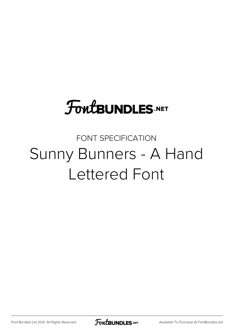# **FoutBUNDLES.NET**

## FONT SPECIFICATION Sunny Bunners - A Hand Lettered Font

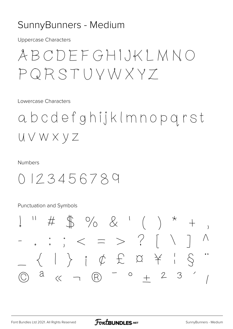### SunnyBunners - Medium

**Uppercase Characters** 

## ABCDEFGHIJKLMNO  $PQRSTUVWXYZ$

Lowercase Characters

abcdefghijklmnopgrst UVWXYZ

#### **Numbers**

0123456789

**Punctuation and Symbols** 

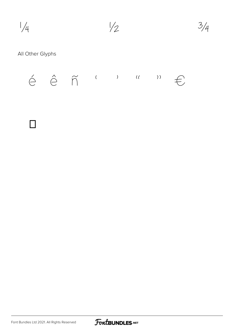



#### All Other Glyphs



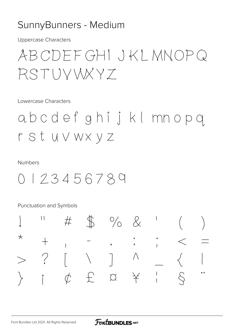## SunnyBunners - Medium

**Uppercase Characters** 

ABCDFFGHI JKI MNOPQ RSTUVVXY7

Lowercase Characters

abcdef ghij klmnopq r st uvwxyz

#### **Numbers**

0123456789

Punctuation and Symbols

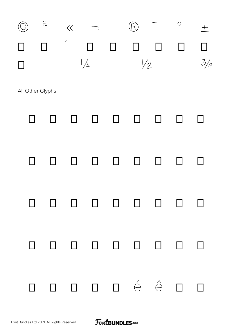

All Other Glyphs

## À Á Â Ã Ä Å Æ Ç È ÉÊËÌÍÎÏ  $\tilde{\rm N}$ Đ ÒÓÔÔÖרÙ  $\dot{u}$  $\hat{U}$   $\hat{U}$   $\hat{Y}$   $P$   $\hat{B}$   $\hat{a}$   $\hat{a}$ â ã  $\hat{a}$  æç è  $\hat{e}$   $\hat{e}$  ë ä ो